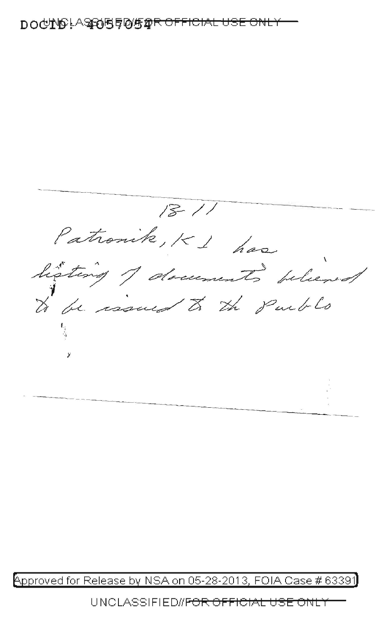$18-$ Patronik, K 1 has

₯₯₧₯₣₸₷₯₫₫₫₽₽₽₽₽<del>₽₽₽₽₽₽₽₽₽₽₽₽</del>

Approved for Release by NSA on 05-28-2013, FOIA Case # 63391

UNCLASSIFIED#<del>FOR OFFICIAL USE</del> ਹਾਂਗਰ